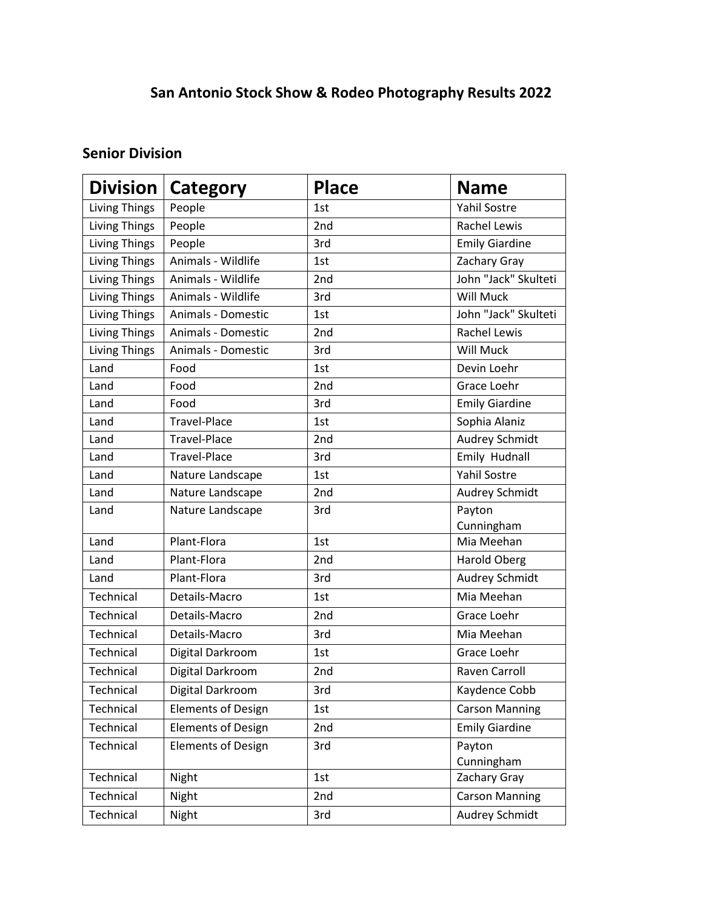## **San Antonio Stock Show & Rodeo Photography Results 2022**

## **Senior Division**

| <b>Division</b>      | <b>Category</b>           | <b>Place</b> | <b>Name</b>           |
|----------------------|---------------------------|--------------|-----------------------|
| <b>Living Things</b> | People                    | 1st          | <b>Yahil Sostre</b>   |
| <b>Living Things</b> | People                    | 2nd          | <b>Rachel Lewis</b>   |
| <b>Living Things</b> | People                    | 3rd          | <b>Emily Giardine</b> |
| <b>Living Things</b> | Animals - Wildlife        | 1st          | Zachary Gray          |
| <b>Living Things</b> | Animals - Wildlife        | 2nd          | John "Jack" Skulteti  |
| Living Things        | Animals - Wildlife        | 3rd          | Will Muck             |
| Living Things        | Animals - Domestic        | 1st          | John "Jack" Skulteti  |
| <b>Living Things</b> | Animals - Domestic        | 2nd          | <b>Rachel Lewis</b>   |
| <b>Living Things</b> | Animals - Domestic        | 3rd          | Will Muck             |
| Land                 | Food                      | 1st          | Devin Loehr           |
| Land                 | Food                      | 2nd          | Grace Loehr           |
| Land                 | Food                      | 3rd          | <b>Emily Giardine</b> |
| Land                 | <b>Travel-Place</b>       | 1st          | Sophia Alaniz         |
| Land                 | <b>Travel-Place</b>       | 2nd          | <b>Audrey Schmidt</b> |
| Land                 | <b>Travel-Place</b>       | 3rd          | Emily Hudnall         |
| Land                 | Nature Landscape          | 1st          | <b>Yahil Sostre</b>   |
| Land                 | Nature Landscape          | 2nd          | Audrey Schmidt        |
| Land                 | Nature Landscape          | 3rd          | Payton                |
|                      |                           |              | Cunningham            |
| Land                 | Plant-Flora               | 1st          | Mia Meehan            |
| Land                 | Plant-Flora               | 2nd          | <b>Harold Oberg</b>   |
| Land                 | Plant-Flora               | 3rd          | Audrey Schmidt        |
| Technical            | Details-Macro             | 1st          | Mia Meehan            |
| Technical            | Details-Macro             | 2nd          | Grace Loehr           |
| Technical            | Details-Macro             | 3rd          | Mia Meehan            |
| Technical            | Digital Darkroom          | 1st          | Grace Loehr           |
| Technical            | Digital Darkroom          | 2nd          | Raven Carroll         |
| Technical            | Digital Darkroom          | 3rd          | Kaydence Cobb         |
| Technical            | <b>Elements of Design</b> | 1st          | <b>Carson Manning</b> |
| Technical            | <b>Elements of Design</b> | 2nd          | <b>Emily Giardine</b> |
| Technical            | <b>Elements of Design</b> | 3rd          | Payton                |
|                      |                           |              | Cunningham            |
| Technical            | Night                     | 1st          | Zachary Gray          |
| Technical            | Night                     | 2nd          | <b>Carson Manning</b> |
| Technical            | Night                     | 3rd          | <b>Audrey Schmidt</b> |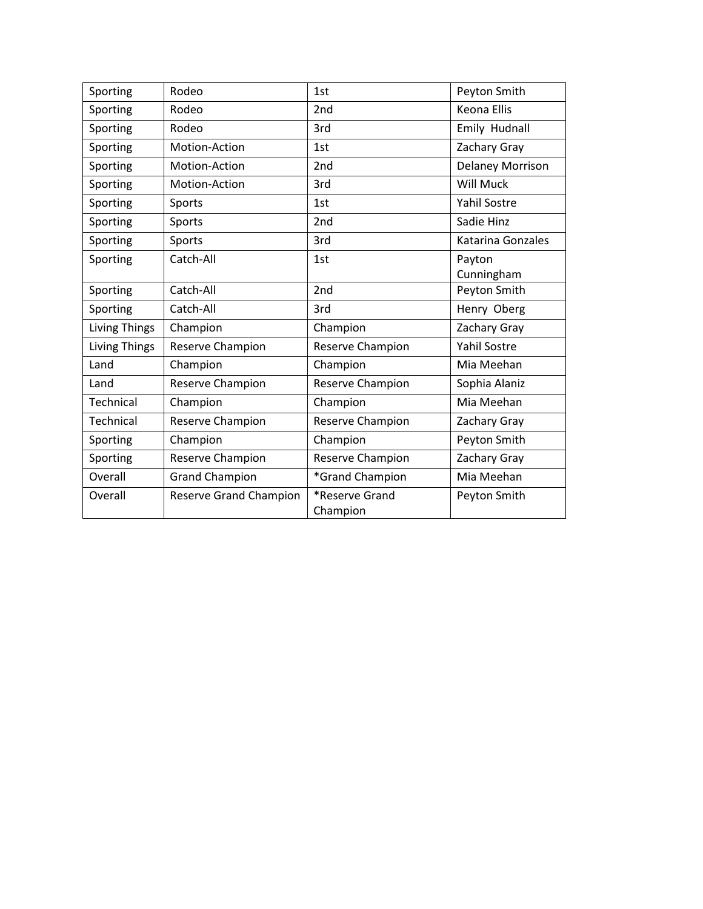| Sporting             | Rodeo                         | 1st                        | Peyton Smith            |
|----------------------|-------------------------------|----------------------------|-------------------------|
| Sporting             | Rodeo                         | 2 <sub>nd</sub>            | <b>Keona Ellis</b>      |
| Sporting             | Rodeo                         | 3rd                        | Emily Hudnall           |
| Sporting             | Motion-Action                 | 1st                        | Zachary Gray            |
| Sporting             | Motion-Action                 | 2nd                        | <b>Delaney Morrison</b> |
| Sporting             | Motion-Action                 | 3rd                        | Will Muck               |
| Sporting             | Sports                        | 1st                        | <b>Yahil Sostre</b>     |
| Sporting             | Sports                        | 2nd                        | Sadie Hinz              |
| Sporting             | Sports                        | 3rd                        | Katarina Gonzales       |
| Sporting             | Catch-All                     | 1st                        | Payton                  |
|                      |                               |                            | Cunningham              |
| Sporting             | Catch-All                     | 2nd                        | Peyton Smith            |
| Sporting             | Catch-All                     | 3rd                        | Henry Oberg             |
| <b>Living Things</b> | Champion                      | Champion                   | Zachary Gray            |
| <b>Living Things</b> | Reserve Champion              | Reserve Champion           | <b>Yahil Sostre</b>     |
| Land                 | Champion                      | Champion                   | Mia Meehan              |
| Land                 | Reserve Champion              | Reserve Champion           | Sophia Alaniz           |
| Technical            | Champion                      | Champion                   | Mia Meehan              |
| Technical            | Reserve Champion              | Reserve Champion           | Zachary Gray            |
| Sporting             | Champion                      | Champion                   | Peyton Smith            |
| Sporting             | Reserve Champion              | Reserve Champion           | Zachary Gray            |
| Overall              | <b>Grand Champion</b>         | *Grand Champion            | Mia Meehan              |
| Overall              | <b>Reserve Grand Champion</b> | *Reserve Grand<br>Champion | Peyton Smith            |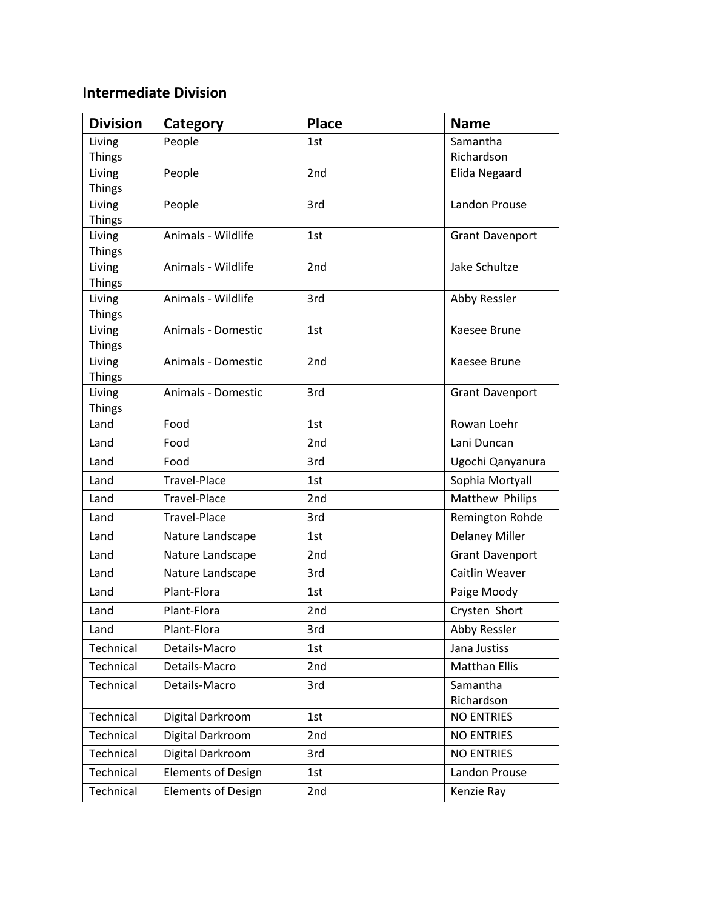## **Intermediate Division**

| <b>Division</b>         | Category                  | <b>Place</b>    | <b>Name</b>            |
|-------------------------|---------------------------|-----------------|------------------------|
| Living                  | People                    | 1st             | Samantha               |
| <b>Things</b>           |                           |                 | Richardson             |
| Living                  | People                    | 2nd             | Elida Negaard          |
| <b>Things</b>           |                           |                 |                        |
| Living                  | People                    | 3rd             | Landon Prouse          |
| <b>Things</b>           |                           |                 |                        |
| Living<br><b>Things</b> | Animals - Wildlife        | 1st             | <b>Grant Davenport</b> |
| Living                  | Animals - Wildlife        | 2 <sub>nd</sub> | Jake Schultze          |
| <b>Things</b>           |                           |                 |                        |
| Living                  | Animals - Wildlife        | 3rd             | Abby Ressler           |
| <b>Things</b>           |                           |                 |                        |
| Living                  | Animals - Domestic        | 1st             | Kaesee Brune           |
| <b>Things</b>           |                           |                 |                        |
| Living                  | Animals - Domestic        | 2nd             | Kaesee Brune           |
| <b>Things</b>           |                           |                 |                        |
| Living                  | Animals - Domestic        | 3rd             | <b>Grant Davenport</b> |
| <b>Things</b>           |                           |                 |                        |
| Land                    | Food                      | 1st             | Rowan Loehr            |
| Land                    | Food                      | 2nd             | Lani Duncan            |
| Land                    | Food                      | 3rd             | Ugochi Qanyanura       |
| Land                    | Travel-Place              | 1st             | Sophia Mortyall        |
| Land                    | <b>Travel-Place</b>       | 2 <sub>nd</sub> | Matthew Philips        |
| Land                    | Travel-Place              | 3rd             | Remington Rohde        |
| Land                    | Nature Landscape          | 1st             | <b>Delaney Miller</b>  |
| Land                    | Nature Landscape          | 2 <sub>nd</sub> | <b>Grant Davenport</b> |
| Land                    | Nature Landscape          | 3rd             | Caitlin Weaver         |
| Land                    | Plant-Flora               | 1st             | Paige Moody            |
| Land                    | Plant-Flora               | 2nd             | Crysten Short          |
| Land                    | Plant-Flora               | 3rd             | <b>Abby Ressler</b>    |
| Technical               | Details-Macro             | 1st             | Jana Justiss           |
| Technical               | Details-Macro             | 2nd             | <b>Matthan Ellis</b>   |
| Technical               | Details-Macro             | 3rd             | Samantha               |
|                         |                           |                 | Richardson             |
| Technical               | Digital Darkroom          | 1st             | <b>NO ENTRIES</b>      |
| Technical               | Digital Darkroom          | 2nd             | <b>NO ENTRIES</b>      |
| Technical               | Digital Darkroom          | 3rd             | <b>NO ENTRIES</b>      |
| Technical               | <b>Elements of Design</b> | 1st             | Landon Prouse          |
| Technical               | <b>Elements of Design</b> | 2nd             | Kenzie Ray             |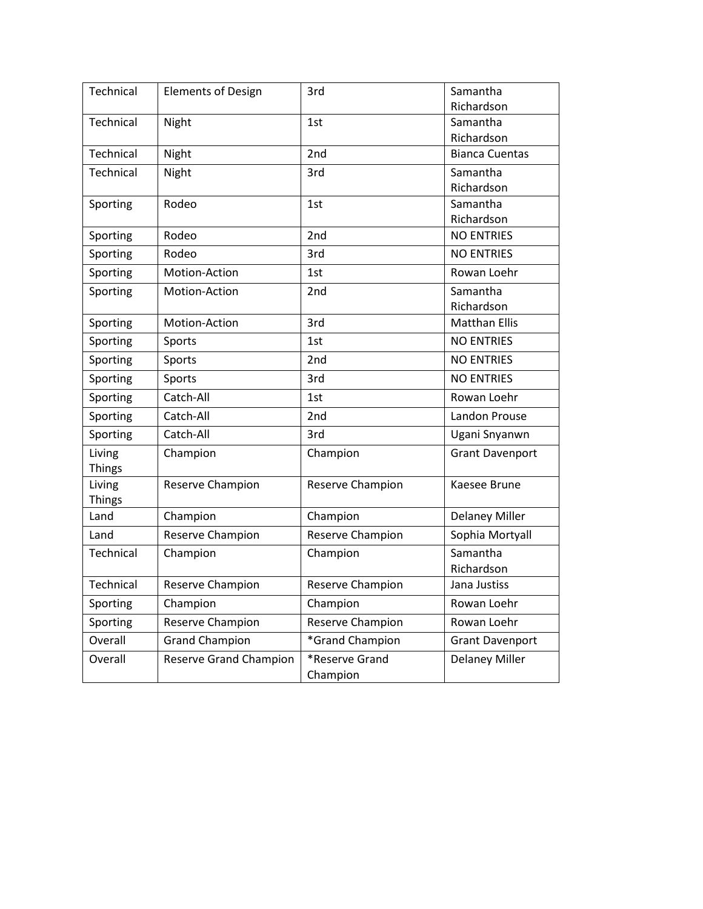| Technical     | <b>Elements of Design</b>     | 3rd                        | Samantha               |
|---------------|-------------------------------|----------------------------|------------------------|
|               |                               |                            | Richardson             |
| Technical     | Night                         | 1st                        | Samantha               |
|               |                               |                            | Richardson             |
| Technical     | Night                         | 2nd                        | <b>Bianca Cuentas</b>  |
| Technical     | Night                         | 3rd                        | Samantha               |
|               |                               |                            | Richardson             |
| Sporting      | Rodeo                         | 1st                        | Samantha<br>Richardson |
| Sporting      | Rodeo                         | 2nd                        | <b>NO ENTRIES</b>      |
|               |                               |                            |                        |
| Sporting      | Rodeo                         | 3rd                        | <b>NO ENTRIES</b>      |
| Sporting      | Motion-Action                 | 1st                        | Rowan Loehr            |
| Sporting      | Motion-Action                 | 2nd                        | Samantha               |
|               |                               |                            | Richardson             |
| Sporting      | Motion-Action                 | 3rd                        | <b>Matthan Ellis</b>   |
| Sporting      | Sports                        | 1st                        | <b>NO ENTRIES</b>      |
| Sporting      | Sports                        | 2nd                        | <b>NO ENTRIES</b>      |
| Sporting      | Sports                        | 3rd                        | <b>NO ENTRIES</b>      |
| Sporting      | Catch-All                     | 1st                        | Rowan Loehr            |
| Sporting      | Catch-All                     | 2nd                        | Landon Prouse          |
| Sporting      | Catch-All                     | 3rd                        | Ugani Snyanwn          |
| Living        | Champion                      | Champion                   | <b>Grant Davenport</b> |
| <b>Things</b> |                               |                            |                        |
| Living        | Reserve Champion              | Reserve Champion           | Kaesee Brune           |
| <b>Things</b> |                               |                            |                        |
| Land          | Champion                      | Champion                   | <b>Delaney Miller</b>  |
| Land          | Reserve Champion              | Reserve Champion           | Sophia Mortyall        |
| Technical     | Champion                      | Champion                   | Samantha               |
|               |                               |                            | Richardson             |
| Technical     | Reserve Champion              | Reserve Champion           | Jana Justiss           |
| Sporting      | Champion                      | Champion                   | Rowan Loehr            |
| Sporting      | Reserve Champion              | Reserve Champion           | Rowan Loehr            |
| Overall       | <b>Grand Champion</b>         | *Grand Champion            | <b>Grant Davenport</b> |
| Overall       | <b>Reserve Grand Champion</b> | *Reserve Grand<br>Champion | <b>Delaney Miller</b>  |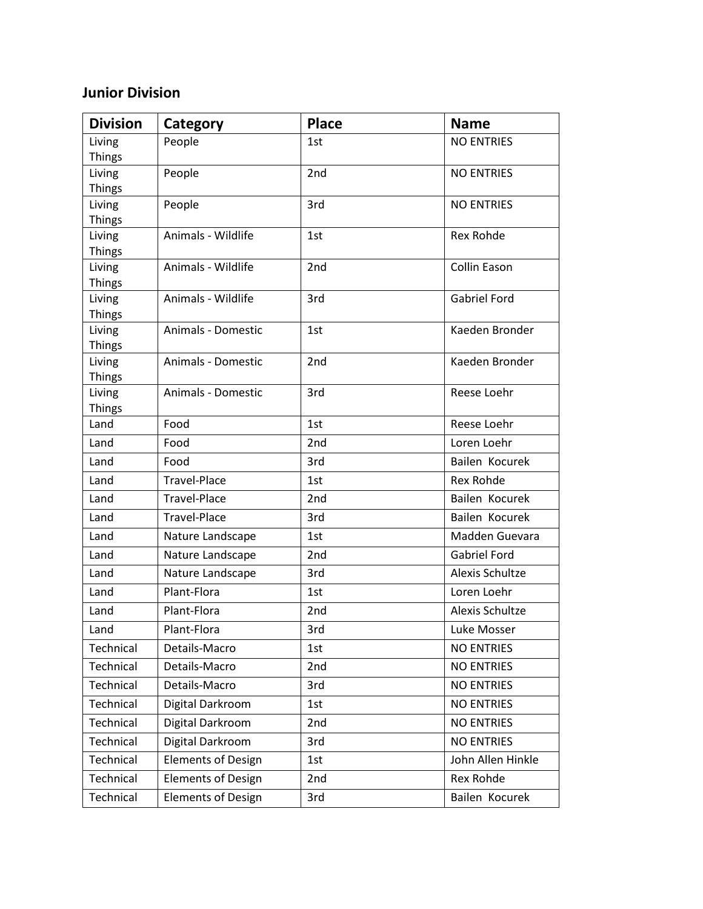## **Junior Division**

| <b>Division</b>         | Category                  | <b>Place</b>    | <b>Name</b>         |
|-------------------------|---------------------------|-----------------|---------------------|
| Living                  | People                    | 1st             | <b>NO ENTRIES</b>   |
| <b>Things</b>           |                           |                 |                     |
| Living                  | People                    | 2nd             | <b>NO ENTRIES</b>   |
| <b>Things</b>           |                           |                 |                     |
| Living                  | People                    | 3rd             | <b>NO ENTRIES</b>   |
| <b>Things</b>           |                           |                 |                     |
| Living<br><b>Things</b> | Animals - Wildlife        | 1st             | Rex Rohde           |
| Living                  | Animals - Wildlife        | 2 <sub>nd</sub> | Collin Eason        |
| <b>Things</b>           |                           |                 |                     |
| Living                  | Animals - Wildlife        | 3rd             | <b>Gabriel Ford</b> |
| <b>Things</b>           |                           |                 |                     |
| Living                  | Animals - Domestic        | 1st             | Kaeden Bronder      |
| <b>Things</b>           |                           |                 |                     |
| Living                  | Animals - Domestic        | 2nd             | Kaeden Bronder      |
| <b>Things</b>           |                           |                 |                     |
| Living                  | Animals - Domestic        | 3rd             | Reese Loehr         |
| <b>Things</b><br>Land   | Food                      | 1st             | Reese Loehr         |
|                         |                           |                 |                     |
| Land                    | Food                      | 2nd             | Loren Loehr         |
| Land                    | Food                      | 3rd             | Bailen Kocurek      |
| Land                    | Travel-Place              | 1st             | Rex Rohde           |
| Land                    | <b>Travel-Place</b>       | 2nd             | Bailen Kocurek      |
| Land                    | Travel-Place              | 3rd             | Bailen Kocurek      |
| Land                    | Nature Landscape          | 1st             | Madden Guevara      |
| Land                    | Nature Landscape          | 2 <sub>nd</sub> | <b>Gabriel Ford</b> |
| Land                    | Nature Landscape          | 3rd             | Alexis Schultze     |
| Land                    | Plant-Flora               | 1st             | Loren Loehr         |
| Land                    | Plant-Flora               | 2nd             | Alexis Schultze     |
| Land                    | Plant-Flora               | 3rd             | Luke Mosser         |
| Technical               | Details-Macro             | 1st             | <b>NO ENTRIES</b>   |
| Technical               | Details-Macro             | 2nd             | <b>NO ENTRIES</b>   |
| Technical               | Details-Macro             | 3rd             | <b>NO ENTRIES</b>   |
| Technical               | Digital Darkroom          | 1st             | <b>NO ENTRIES</b>   |
| Technical               | Digital Darkroom          | 2nd             | <b>NO ENTRIES</b>   |
| Technical               | Digital Darkroom          | 3rd             | <b>NO ENTRIES</b>   |
| Technical               | <b>Elements of Design</b> | 1st             | John Allen Hinkle   |
| Technical               | <b>Elements of Design</b> | 2nd             | Rex Rohde           |
| Technical               | <b>Elements of Design</b> | 3rd             | Bailen Kocurek      |